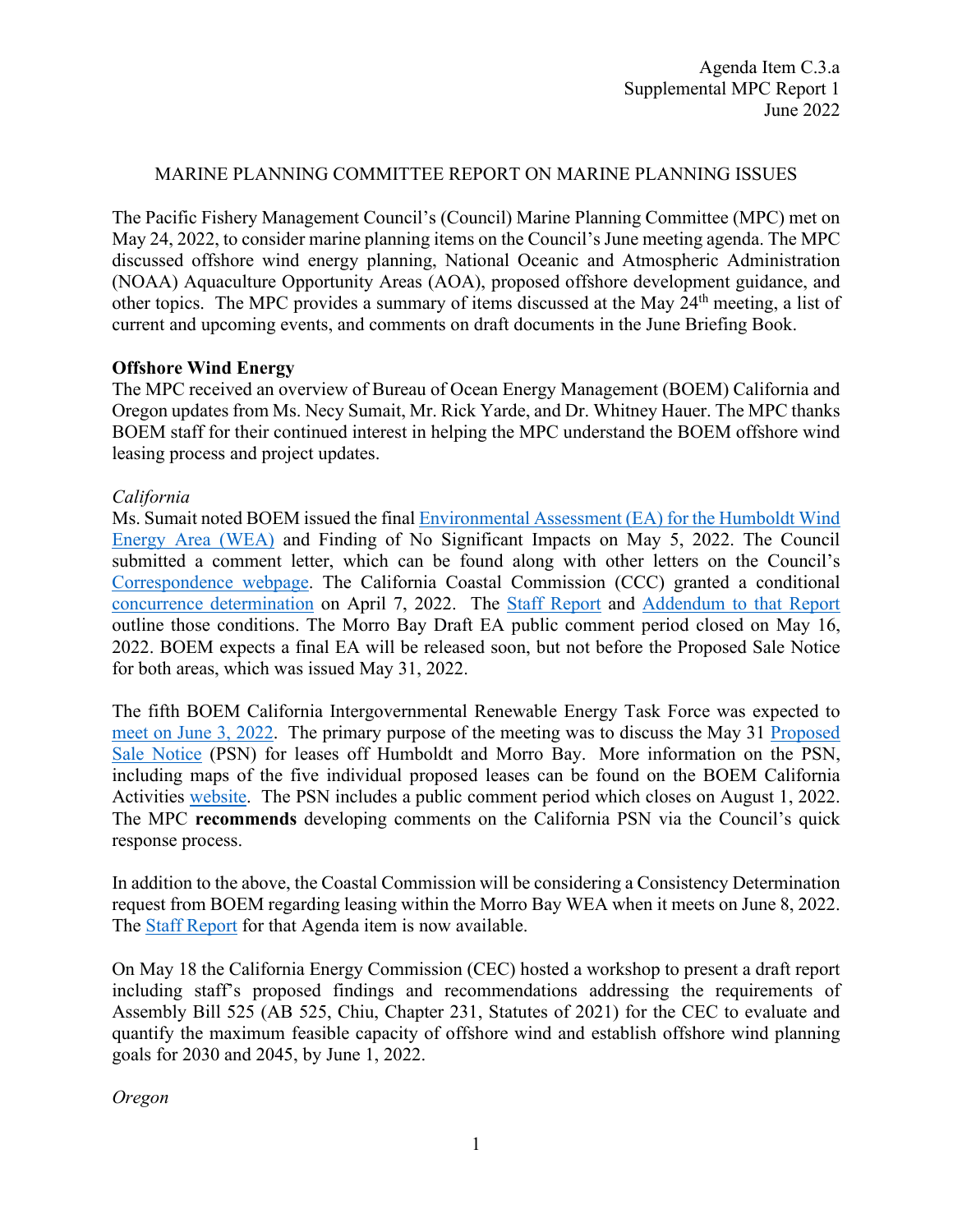#### MARINE PLANNING COMMITTEE REPORT ON MARINE PLANNING ISSUES

The Pacific Fishery Management Council's (Council) Marine Planning Committee (MPC) met on May 24, 2022, to consider marine planning items on the Council's June meeting agenda. The MPC discussed offshore wind energy planning, National Oceanic and Atmospheric Administration (NOAA) Aquaculture Opportunity Areas (AOA), proposed offshore development guidance, and other topics. The MPC provides a summary of items discussed at the May 24<sup>th</sup> meeting, a list of current and upcoming events, and comments on draft documents in the June Briefing Book.

#### **Offshore Wind Energy**

The MPC received an overview of Bureau of Ocean Energy Management (BOEM) California and Oregon updates from Ms. Necy Sumait, Mr. Rick Yarde, and Dr. Whitney Hauer. The MPC thanks BOEM staff for their continued interest in helping the MPC understand the BOEM offshore wind leasing process and project updates.

### *California*

Ms. Sumait noted BOEM issued the final [Environmental Assessment \(EA\) for the Humboldt Wind](https://www.boem.gov/newsroom/press-releases/boem-completes-environmental-review-offshore-wind-leasing-northern)  [Energy Area \(WEA\)](https://www.boem.gov/newsroom/press-releases/boem-completes-environmental-review-offshore-wind-leasing-northern) and Finding of No Significant Impacts on May 5, 2022. The Council submitted a comment letter, which can be found along with other letters on the Council's [Correspondence webpage.](https://www.pcouncil.org/correspondence-2/) The California Coastal Commission (CCC) granted a conditional [concurrence determination](https://documents.coastal.ca.gov/reports/2022/4/Th8a/Th8a-4-2022%20staffreport.pdf) on April 7, 2022. The [Staff Report](https://documents.coastal.ca.gov/reports/2022/4/Th8a/Th8a-4-2022%20staffreport.pdf) and [Addendum to that Report](https://documents.coastal.ca.gov/reports/2022/4/Th8a/Th8a-2022-addenda.pdf) outline those conditions. The Morro Bay Draft EA public comment period closed on May 16, 2022. BOEM expects a final EA will be released soon, but not before the Proposed Sale Notice for both areas, which was issued May 31, 2022.

The fifth BOEM California Intergovernmental Renewable Energy Task Force was expected to [meet on June 3, 2022.](https://www.boem.gov/renewable-energy/state-activities/california-2022-task-force-meeting-five) The primary purpose of the meeting was to discuss the May 31 [Proposed](https://www.govinfo.gov/content/pkg/FR-2022-05-31/pdf/2022-11537.pdf)  [Sale Notice](https://www.govinfo.gov/content/pkg/FR-2022-05-31/pdf/2022-11537.pdf) (PSN) for leases off Humboldt and Morro Bay. More information on the PSN, including maps of the five individual proposed leases can be found on the BOEM California Activities [website.](https://www.boem.gov/renewable-energy/state-activities/california-2022-task-force-meeting-five) The PSN includes a public comment period which closes on August 1, 2022. The MPC **recommends** developing comments on the California PSN via the Council's quick response process.

In addition to the above, the Coastal Commission will be considering a Consistency Determination request from BOEM regarding leasing within the Morro Bay WEA when it meets on June 8, 2022. The [Staff Report](https://documents.coastal.ca.gov/reports/2022/6/W7a/W7a-6-2022-Report.pdf) for that Agenda item is now available.

On May 18 the California Energy Commission (CEC) hosted a workshop to present a draft report including staff's proposed findings and recommendations addressing the requirements of Assembly Bill 525 (AB 525, Chiu, Chapter 231, Statutes of 2021) for the CEC to evaluate and quantify the maximum feasible capacity of offshore wind and establish offshore wind planning goals for 2030 and 2045, by June 1, 2022.

*Oregon*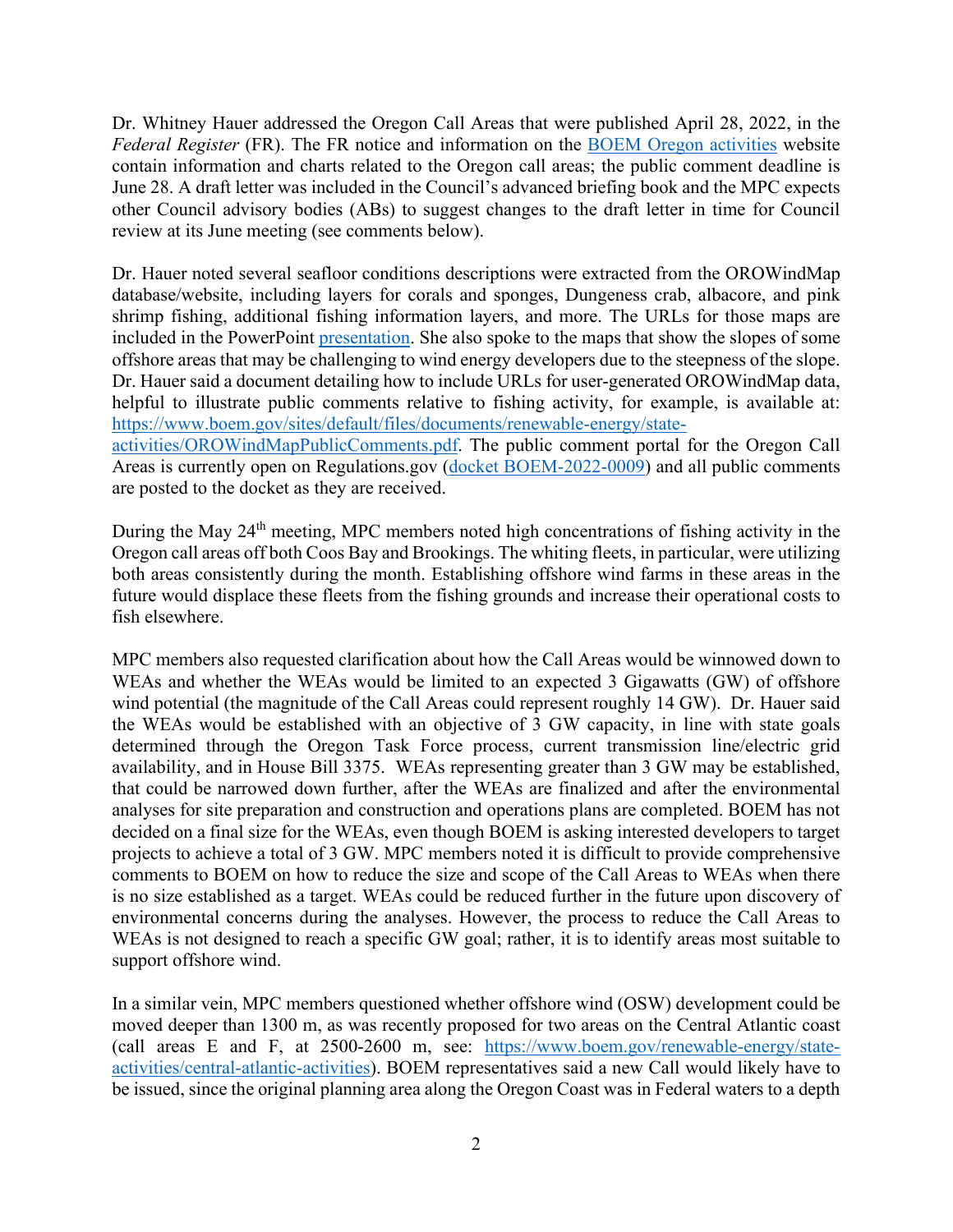Dr. Whitney Hauer addressed the Oregon Call Areas that were published April 28, 2022, in the *Federal Register* (FR). The FR notice and information on the [BOEM Oregon activities](https://www.boem.gov/renewable-energy/state-activities/Oregon) website contain information and charts related to the Oregon call areas; the public comment deadline is June 28. A draft letter was included in the Council's advanced briefing book and the MPC expects other Council advisory bodies (ABs) to suggest changes to the draft letter in time for Council review at its June meeting (see comments below).

Dr. Hauer noted several seafloor conditions descriptions were extracted from the OROWindMap database/website, including layers for corals and sponges, Dungeness crab, albacore, and pink shrimp fishing, additional fishing information layers, and more. The URLs for those maps are included in the PowerPoint [presentation.](https://www.pcouncil.org/documents/2022/06/boem-slides.pdf/) She also spoke to the maps that show the slopes of some offshore areas that may be challenging to wind energy developers due to the steepness of the slope. Dr. Hauer said a document detailing how to include URLs for user-generated OROWindMap data, helpful to illustrate public comments relative to fishing activity, for example, is available at: [https://www.boem.gov/sites/default/files/documents/renewable-energy/state-](https://www.boem.gov/sites/default/files/documents/renewable-energy/state-activities/OROWindMapPublicComments.pdf)

[activities/OROWindMapPublicComments.pdf.](https://www.boem.gov/sites/default/files/documents/renewable-energy/state-activities/OROWindMapPublicComments.pdf) The public comment portal for the Oregon Call Areas is currently open on Regulations.gov [\(docket BOEM-2022-0009\)](https://www.regulations.gov/search?filter=BOEM-2022-0009) and all public comments are posted to the docket as they are received.

During the May 24<sup>th</sup> meeting, MPC members noted high concentrations of fishing activity in the Oregon call areas off both Coos Bay and Brookings. The whiting fleets, in particular, were utilizing both areas consistently during the month. Establishing offshore wind farms in these areas in the future would displace these fleets from the fishing grounds and increase their operational costs to fish elsewhere.

MPC members also requested clarification about how the Call Areas would be winnowed down to WEAs and whether the WEAs would be limited to an expected 3 Gigawatts (GW) of offshore wind potential (the magnitude of the Call Areas could represent roughly 14 GW). Dr. Hauer said the WEAs would be established with an objective of 3 GW capacity, in line with state goals determined through the Oregon Task Force process, current transmission line/electric grid availability, and in House Bill 3375. WEAs representing greater than 3 GW may be established, that could be narrowed down further, after the WEAs are finalized and after the environmental analyses for site preparation and construction and operations plans are completed. BOEM has not decided on a final size for the WEAs, even though BOEM is asking interested developers to target projects to achieve a total of 3 GW. MPC members noted it is difficult to provide comprehensive comments to BOEM on how to reduce the size and scope of the Call Areas to WEAs when there is no size established as a target. WEAs could be reduced further in the future upon discovery of environmental concerns during the analyses. However, the process to reduce the Call Areas to WEAs is not designed to reach a specific GW goal; rather, it is to identify areas most suitable to support offshore wind.

In a similar vein, MPC members questioned whether offshore wind (OSW) development could be moved deeper than 1300 m, as was recently proposed for two areas on the Central Atlantic coast (call areas E and F, at 2500-2600 m, see: [https://www.boem.gov/renewable-energy/state](https://www.boem.gov/renewable-energy/state-activities/central-atlantic-activities)[activities/central-atlantic-activities\)](https://www.boem.gov/renewable-energy/state-activities/central-atlantic-activities). BOEM representatives said a new Call would likely have to be issued, since the original planning area along the Oregon Coast was in Federal waters to a depth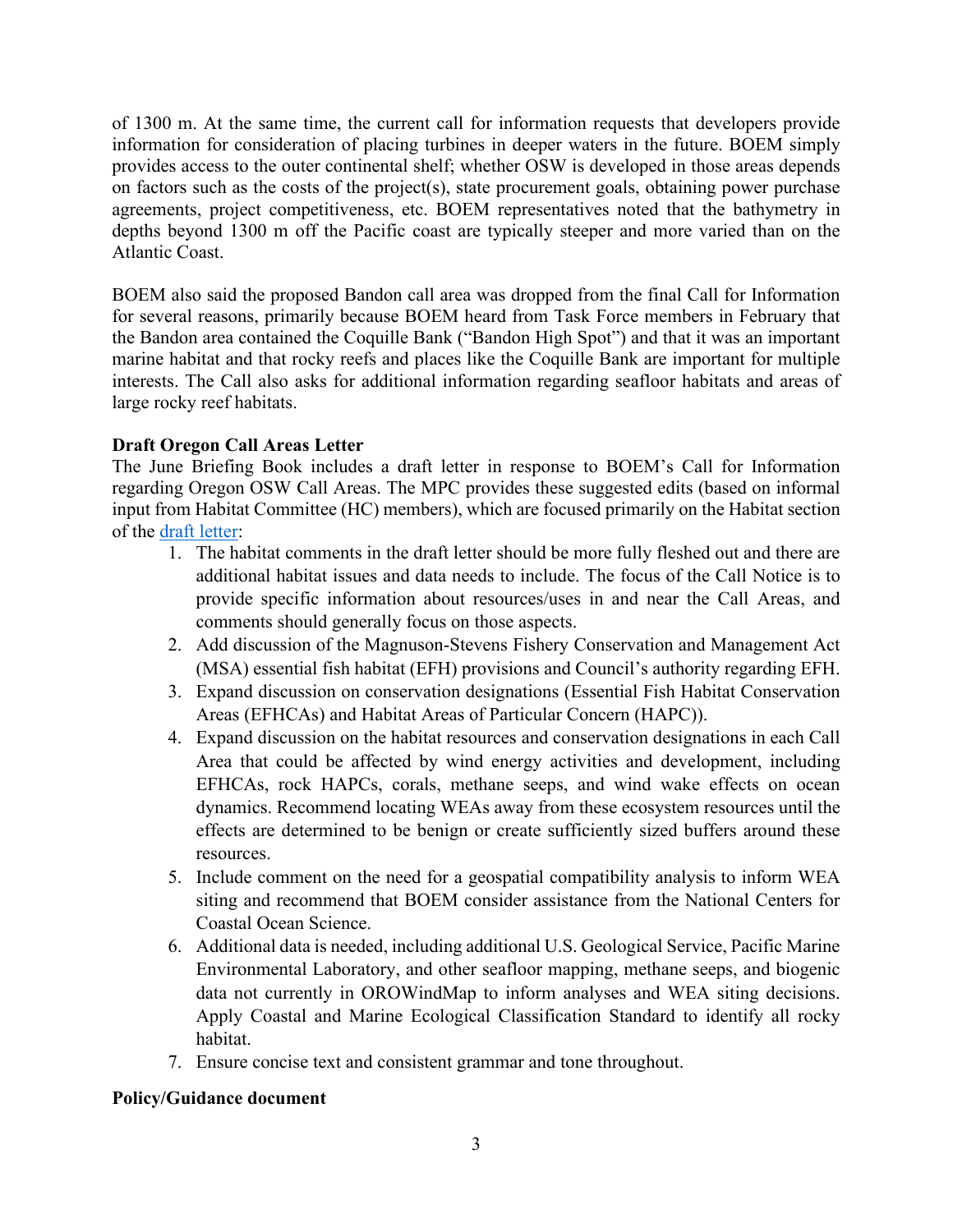of 1300 m. At the same time, the current call for information requests that developers provide information for consideration of placing turbines in deeper waters in the future. BOEM simply provides access to the outer continental shelf; whether OSW is developed in those areas depends on factors such as the costs of the project(s), state procurement goals, obtaining power purchase agreements, project competitiveness, etc. BOEM representatives noted that the bathymetry in depths beyond 1300 m off the Pacific coast are typically steeper and more varied than on the Atlantic Coast.

BOEM also said the proposed Bandon call area was dropped from the final Call for Information for several reasons, primarily because BOEM heard from Task Force members in February that the Bandon area contained the Coquille Bank ("Bandon High Spot") and that it was an important marine habitat and that rocky reefs and places like the Coquille Bank are important for multiple interests. The Call also asks for additional information regarding seafloor habitats and areas of large rocky reef habitats.

# **Draft Oregon Call Areas Letter**

The June Briefing Book includes a draft letter in response to BOEM's Call for Information regarding Oregon OSW Call Areas. The MPC provides these suggested edits (based on informal input from Habitat Committee (HC) members), which are focused primarily on the Habitat section of the [draft letter:](https://www.pcouncil.org/documents/2022/05/c-3-attachment-1-draft-oregon-call-areas-letter.pdf/)

- 1. The habitat comments in the draft letter should be more fully fleshed out and there are additional habitat issues and data needs to include. The focus of the Call Notice is to provide specific information about resources/uses in and near the Call Areas, and comments should generally focus on those aspects.
- 2. Add discussion of the Magnuson-Stevens Fishery Conservation and Management Act (MSA) essential fish habitat (EFH) provisions and Council's authority regarding EFH.
- 3. Expand discussion on conservation designations (Essential Fish Habitat Conservation Areas (EFHCAs) and Habitat Areas of Particular Concern (HAPC)).
- 4. Expand discussion on the habitat resources and conservation designations in each Call Area that could be affected by wind energy activities and development, including EFHCAs, rock HAPCs, corals, methane seeps, and wind wake effects on ocean dynamics. Recommend locating WEAs away from these ecosystem resources until the effects are determined to be benign or create sufficiently sized buffers around these resources.
- 5. Include comment on the need for a geospatial compatibility analysis to inform WEA siting and recommend that BOEM consider assistance from the National Centers for Coastal Ocean Science.
- 6. Additional data is needed, including additional U.S. Geological Service, Pacific Marine Environmental Laboratory, and other seafloor mapping, methane seeps, and biogenic data not currently in OROWindMap to inform analyses and WEA siting decisions. Apply Coastal and Marine Ecological Classification Standard to identify all rocky habitat.
- 7. Ensure concise text and consistent grammar and tone throughout.

## **Policy/Guidance document**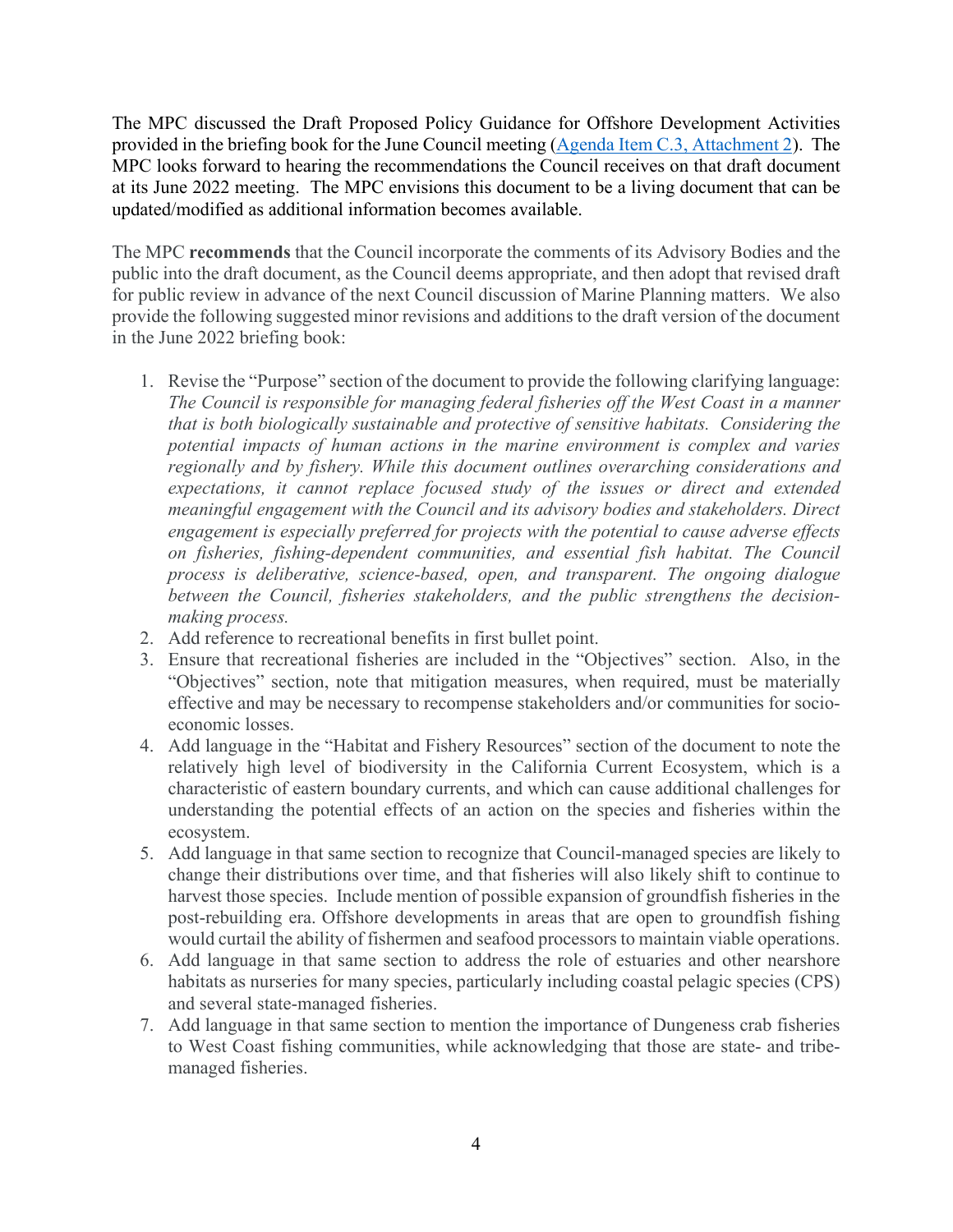The MPC discussed the Draft Proposed Policy Guidance for Offshore Development Activities provided in the briefing book for the June Council meeting [\(Agenda Item C.3, Attachment 2\)](https://www.pcouncil.org/documents/2022/05/c-3-attachment-2-draft-policy-guidance-document.pdf/). The MPC looks forward to hearing the recommendations the Council receives on that draft document at its June 2022 meeting. The MPC envisions this document to be a living document that can be updated/modified as additional information becomes available.

The MPC **recommends** that the Council incorporate the comments of its Advisory Bodies and the public into the draft document, as the Council deems appropriate, and then adopt that revised draft for public review in advance of the next Council discussion of Marine Planning matters. We also provide the following suggested minor revisions and additions to the draft version of the document in the June 2022 briefing book:

- 1. Revise the "Purpose" section of the document to provide the following clarifying language: *The Council is responsible for managing federal fisheries off the West Coast in a manner that is both biologically sustainable and protective of sensitive habitats. Considering the potential impacts of human actions in the marine environment is complex and varies regionally and by fishery. While this document outlines overarching considerations and expectations, it cannot replace focused study of the issues or direct and extended meaningful engagement with the Council and its advisory bodies and stakeholders. Direct engagement is especially preferred for projects with the potential to cause adverse effects on fisheries, fishing-dependent communities, and essential fish habitat. The Council process is deliberative, science-based, open, and transparent. The ongoing dialogue between the Council, fisheries stakeholders, and the public strengthens the decisionmaking process.*
- 2. Add reference to recreational benefits in first bullet point.
- 3. Ensure that recreational fisheries are included in the "Objectives" section. Also, in the "Objectives" section, note that mitigation measures, when required, must be materially effective and may be necessary to recompense stakeholders and/or communities for socioeconomic losses.
- 4. Add language in the "Habitat and Fishery Resources" section of the document to note the relatively high level of biodiversity in the California Current Ecosystem, which is a characteristic of eastern boundary currents, and which can cause additional challenges for understanding the potential effects of an action on the species and fisheries within the ecosystem.
- 5. Add language in that same section to recognize that Council-managed species are likely to change their distributions over time, and that fisheries will also likely shift to continue to harvest those species. Include mention of possible expansion of groundfish fisheries in the post-rebuilding era. Offshore developments in areas that are open to groundfish fishing would curtail the ability of fishermen and seafood processors to maintain viable operations.
- 6. Add language in that same section to address the role of estuaries and other nearshore habitats as nurseries for many species, particularly including coastal pelagic species (CPS) and several state-managed fisheries.
- 7. Add language in that same section to mention the importance of Dungeness crab fisheries to West Coast fishing communities, while acknowledging that those are state- and tribemanaged fisheries.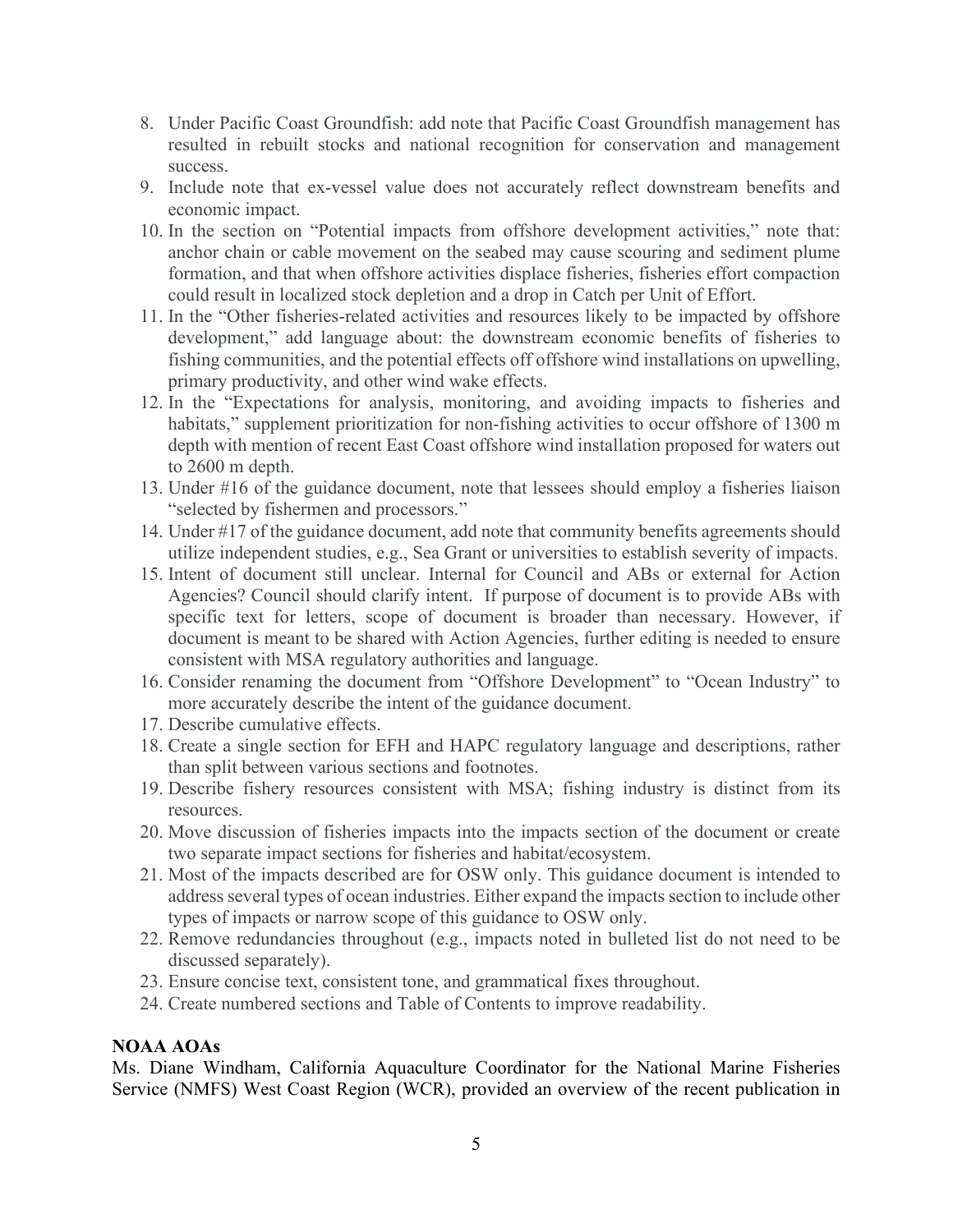- 8. Under Pacific Coast Groundfish: add note that Pacific Coast Groundfish management has resulted in rebuilt stocks and national recognition for conservation and management success.
- 9. Include note that ex-vessel value does not accurately reflect downstream benefits and economic impact.
- 10. In the section on "Potential impacts from offshore development activities," note that: anchor chain or cable movement on the seabed may cause scouring and sediment plume formation, and that when offshore activities displace fisheries, fisheries effort compaction could result in localized stock depletion and a drop in Catch per Unit of Effort.
- 11. In the "Other fisheries-related activities and resources likely to be impacted by offshore development," add language about: the downstream economic benefits of fisheries to fishing communities, and the potential effects off offshore wind installations on upwelling, primary productivity, and other wind wake effects.
- 12. In the "Expectations for analysis, monitoring, and avoiding impacts to fisheries and habitats," supplement prioritization for non-fishing activities to occur offshore of 1300 m depth with mention of recent East Coast offshore wind installation proposed for waters out to 2600 m depth.
- 13. Under #16 of the guidance document, note that lessees should employ a fisheries liaison "selected by fishermen and processors."
- 14. Under #17 of the guidance document, add note that community benefits agreements should utilize independent studies, e.g., Sea Grant or universities to establish severity of impacts.
- 15. Intent of document still unclear. Internal for Council and ABs or external for Action Agencies? Council should clarify intent. If purpose of document is to provide ABs with specific text for letters, scope of document is broader than necessary. However, if document is meant to be shared with Action Agencies, further editing is needed to ensure consistent with MSA regulatory authorities and language.
- 16. Consider renaming the document from "Offshore Development" to "Ocean Industry" to more accurately describe the intent of the guidance document.
- 17. Describe cumulative effects.
- 18. Create a single section for EFH and HAPC regulatory language and descriptions, rather than split between various sections and footnotes.
- 19. Describe fishery resources consistent with MSA; fishing industry is distinct from its resources.
- 20. Move discussion of fisheries impacts into the impacts section of the document or create two separate impact sections for fisheries and habitat/ecosystem.
- 21. Most of the impacts described are for OSW only. This guidance document is intended to address several types of ocean industries. Either expand the impacts section to include other types of impacts or narrow scope of this guidance to OSW only.
- 22. Remove redundancies throughout (e.g., impacts noted in bulleted list do not need to be discussed separately).
- 23. Ensure concise text, consistent tone, and grammatical fixes throughout.
- 24. Create numbered sections and Table of Contents to improve readability.

## **NOAA AOAs**

Ms. Diane Windham, California Aquaculture Coordinator for the National Marine Fisheries Service (NMFS) West Coast Region (WCR), provided an overview of the recent publication in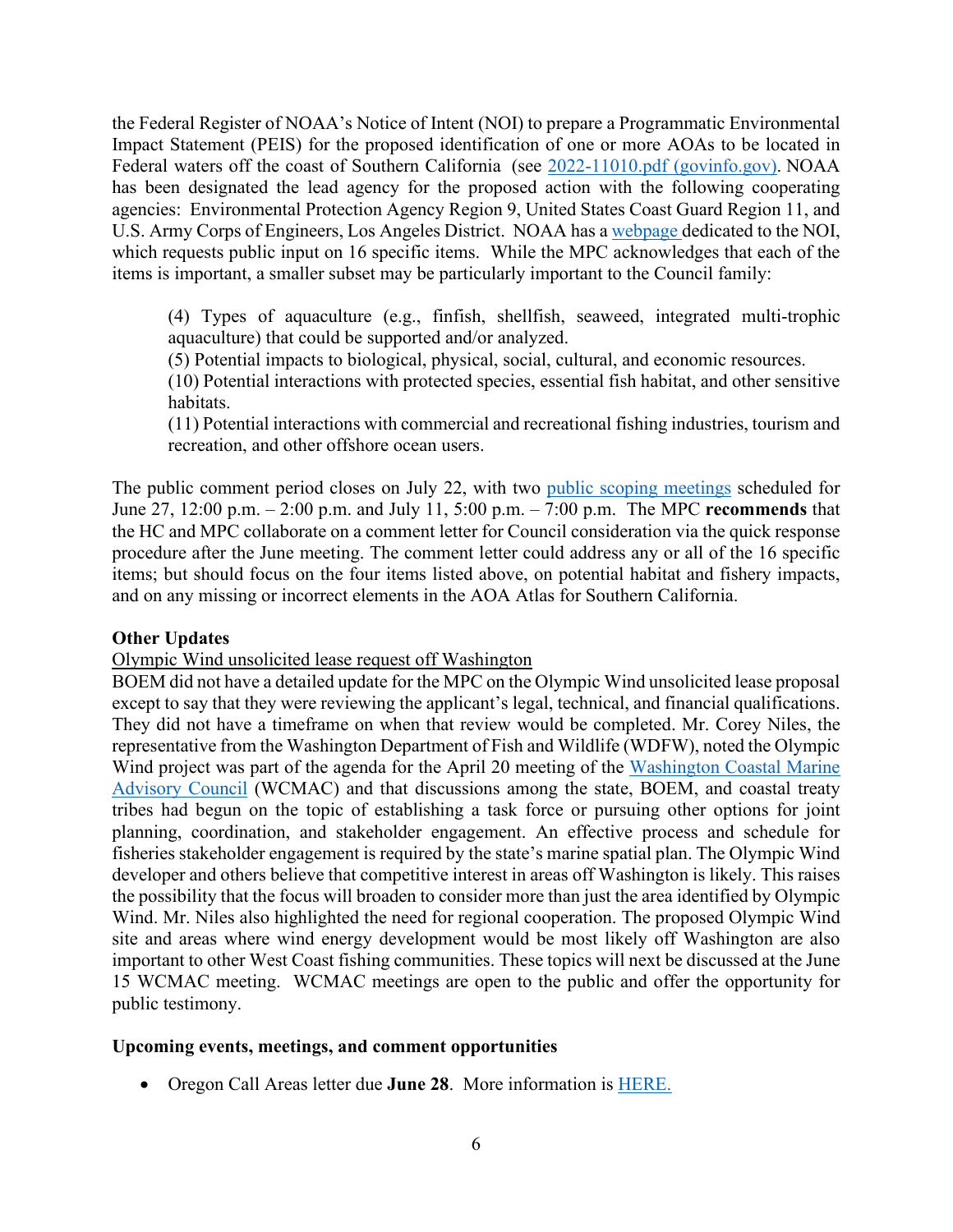the Federal Register of NOAA's Notice of Intent (NOI) to prepare a Programmatic Environmental Impact Statement (PEIS) for the proposed identification of one or more AOAs to be located in Federal waters off the coast of Southern California (see 2022-11010.pdf (govinfo.gov). NOAA has been designated the lead agency for the proposed action with the following cooperating agencies: Environmental Protection Agency Region 9, United States Coast Guard Region 11, and U.S. Army Corps of Engineers, Los Angeles District. NOAA has a webpage dedicated to the NOI, which requests public input on 16 specific items. While the MPC acknowledges that each of the items is important, a smaller subset may be particularly important to the Council family:

(4) Types of aquaculture (e.g., finfish, shellfish, seaweed, integrated multi-trophic aquaculture) that could be supported and/or analyzed.

(5) Potential impacts to biological, physical, social, cultural, and economic resources.

(10) Potential interactions with protected species, essential fish habitat, and other sensitive habitats.

(11) Potential interactions with commercial and recreational fishing industries, tourism and recreation, and other offshore ocean users.

The public comment period closes on July 22, with two public scoping meetings scheduled for June 27, 12:00 p.m. – 2:00 p.m. and July 11, 5:00 p.m. – 7:00 p.m. The MPC **recommends** that the HC and MPC collaborate on a comment letter for Council consideration via the quick response procedure after the June meeting. The comment letter could address any or all of the 16 specific items; but should focus on the four items listed above, on potential habitat and fishery impacts, and on any missing or incorrect elements in the AOA Atlas for Southern California.

## **Other Updates**

Olympic Wind unsolicited lease request off Washington

BOEM did not have a detailed update for the MPC on the Olympic Wind unsolicited lease proposal except to say that they were reviewing the applicant's legal, technical, and financial qualifications. They did not have a timeframe on when that review would be completed. Mr. Corey Niles, the representative from the Washington Department of Fish and Wildlife (WDFW), noted the Olympic Wind project was part of the agenda for the April 20 meeting of the Washington Coastal Marine Advisory Council (WCMAC) and that discussions among the state, BOEM, and coastal treaty tribes had begun on the topic of establishing a task force or pursuing other options for joint planning, coordination, and stakeholder engagement. An effective process and schedule for fisheries stakeholder engagement is required by the state's marine spatial plan. The Olympic Wind developer and others believe that competitive interest in areas off Washington is likely. This raises the possibility that the focus will broaden to consider more than just the area identified by Olympic Wind. Mr. Niles also highlighted the need for regional cooperation. The proposed Olympic Wind site and areas where wind energy development would be most likely off Washington are also important to other West Coast fishing communities. These topics will next be discussed at the June 15 WCMAC meeting. WCMAC meetings are open to the public and offer the opportunity for public testimony.

#### **Upcoming events, meetings, and comment opportunities**

• Oregon Call Areas letter due **June 28**. More information is HERE.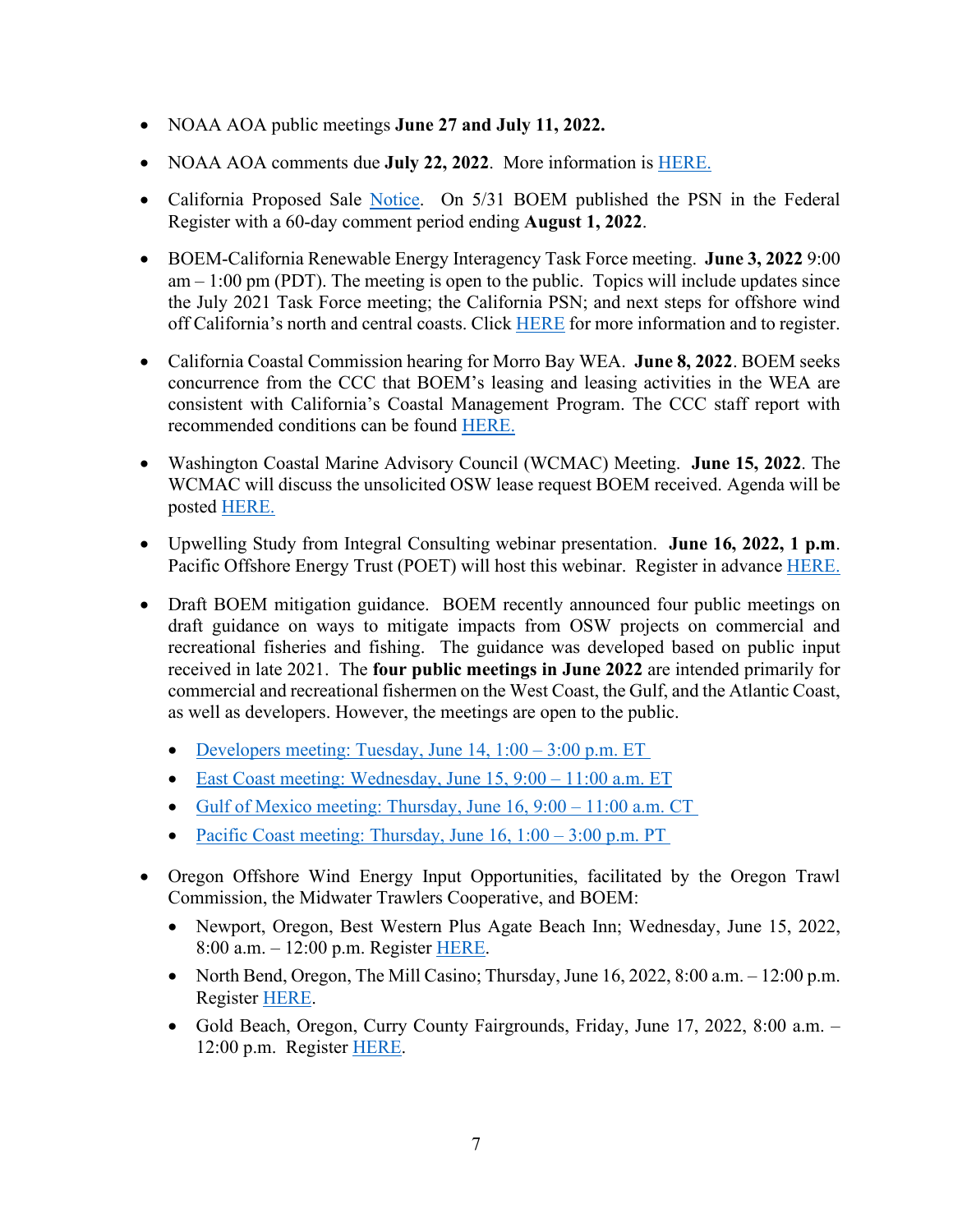- NOAA AOA public meetings **June 27 and July 11, 2022.**
- NOAA AOA comments due **July 22, 2022**. More information is HERE.
- California Proposed Sale Notice. On 5/31 BOEM published the PSN in the Federal Register with a 60-day comment period ending **August 1, 2022**.
- BOEM-California Renewable Energy Interagency Task Force meeting. **June 3, 2022** 9:00  $am - 1:00 \text{ pm}$  (PDT). The meeting is open to the public. Topics will include updates since the July 2021 Task Force meeting; the California PSN; and next steps for offshore wind off California's north and central coasts. Click HERE for more information and to register.
- California Coastal Commission hearing for Morro Bay WEA. **June 8, 2022**. BOEM seeks concurrence from the CCC that BOEM's leasing and leasing activities in the WEA are consistent with California's Coastal Management Program. The CCC staff report with recommended conditions can be found HERE.
- Washington Coastal Marine Advisory Council (WCMAC) Meeting. **June 15, 2022**. The WCMAC will discuss the unsolicited OSW lease request BOEM received. Agenda will be posted HERE.
- Upwelling Study from Integral Consulting webinar presentation. **June 16, 2022, 1 p.m**. Pacific Offshore Energy Trust (POET) will host this webinar. Register in advance HERE.
- Draft BOEM mitigation guidance. BOEM recently announced four public meetings on draft guidance on ways to mitigate impacts from OSW projects on commercial and recreational fisheries and fishing. The guidance was developed based on public input received in late 2021. The **four public meetings in June 2022** are intended primarily for commercial and recreational fishermen on the West Coast, the Gulf, and the Atlantic Coast, as well as developers. However, the meetings are open to the public.
	- Developers meeting: Tuesday, June  $14$ ,  $1:00 3:00$  p.m. ET
	- East Coast meeting: Wednesday, June 15, 9:00 11:00 a.m. ET
	- Gulf of Mexico meeting: Thursday, June 16, 9:00 11:00 a.m. CT
	- Pacific Coast meeting: Thursday, June  $16$ ,  $1:00 3:00$  p.m. PT
- Oregon Offshore Wind Energy Input Opportunities, facilitated by the Oregon Trawl Commission, the Midwater Trawlers Cooperative, and BOEM:
	- Newport, Oregon, Best Western Plus Agate Beach Inn; Wednesday, June 15, 2022, 8:00 a.m. – 12:00 p.m. Register HERE.
	- North Bend, Oregon, The Mill Casino; Thursday, June  $16, 2022, 8:00$  a.m.  $-12:00$  p.m. Register HERE.
	- Gold Beach, Oregon, Curry County Fairgrounds, Friday, June 17, 2022, 8:00 a.m. 12:00 p.m. Register HERE.